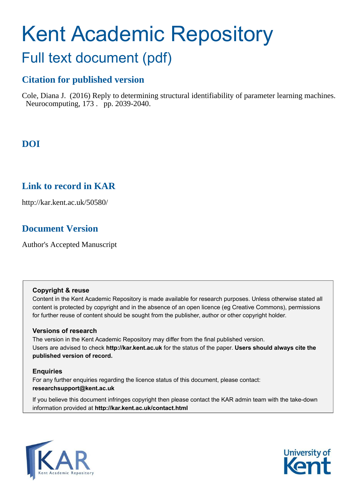# Kent Academic Repository Full text document (pdf)

## **Citation for published version**

Cole, Diana J. (2016) Reply to determining structural identifiability of parameter learning machines. Neurocomputing, 173 . pp. 2039-2040.

## **DOI**

## **Link to record in KAR**

http://kar.kent.ac.uk/50580/

## **Document Version**

Author's Accepted Manuscript

## **Copyright & reuse**

Content in the Kent Academic Repository is made available for research purposes. Unless otherwise stated all content is protected by copyright and in the absence of an open licence (eg Creative Commons), permissions for further reuse of content should be sought from the publisher, author or other copyright holder.

## **Versions of research**

The version in the Kent Academic Repository may differ from the final published version. Users are advised to check **http://kar.kent.ac.uk** for the status of the paper. **Users should always cite the published version of record.**

## **Enquiries**

For any further enquiries regarding the licence status of this document, please contact: **researchsupport@kent.ac.uk**

If you believe this document infringes copyright then please contact the KAR admin team with the take-down information provided at **http://kar.kent.ac.uk/contact.html**



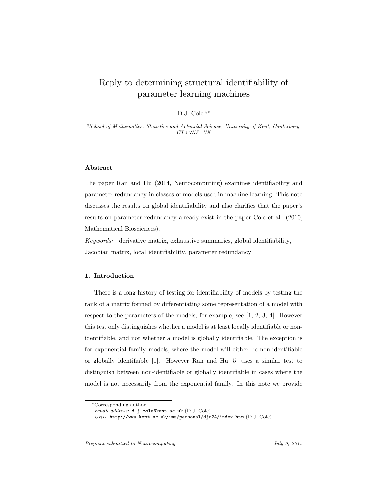## Reply to determining structural identifiability of parameter learning machines

#### D.J. Cole<sup>a,∗</sup>

<sup>a</sup>School of Mathematics, Statistics and Actuarial Science, University of Kent, Canterbury, CT2 7NF, UK

#### Abstract

The paper Ran and Hu (2014, Neurocomputing) examines identifiability and parameter redundancy in classes of models used in machine learning. This note discusses the results on global identifiability and also clarifies that the paper's results on parameter redundancy already exist in the paper Cole et al. (2010, Mathematical Biosciences).

Keywords: derivative matrix, exhaustive summaries, global identifiability, Jacobian matrix, local identifiability, parameter redundancy

#### 1. Introduction

There is a long history of testing for identifiability of models by testing the rank of a matrix formed by differentiating some representation of a model with respect to the parameters of the models; for example, see [1, 2, 3, 4]. However this test only distinguishes whether a model is at least locally identifiable or nonidentifiable, and not whether a model is globally identifiable. The exception is for exponential family models, where the model will either be non-identifiable or globally identifiable [1]. However Ran and Hu [5] uses a similar test to distinguish between non-identifiable or globally identifiable in cases where the model is not necessarily from the exponential family. In this note we provide

Preprint submitted to Neurocomputing Theorem 3 July 9, 2015

<sup>∗</sup>Corresponding author

Email address: d.j.cole@kent.ac.uk (D.J. Cole)

URL: http://www.kent.ac.uk/ims/personal/djc24/index.htm (D.J. Cole)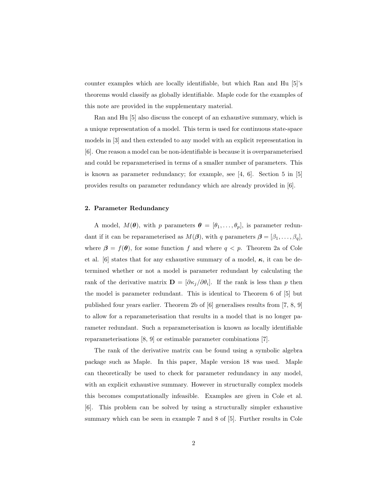counter examples which are locally identifiable, but which Ran and Hu [5]'s theorems would classify as globally identifiable. Maple code for the examples of this note are provided in the supplementary material.

Ran and Hu [5] also discuss the concept of an exhaustive summary, which is a unique representation of a model. This term is used for continuous state-space models in [3] and then extended to any model with an explicit representation in [6]. One reason a model can be non-identifiable is because it is overparameterised and could be reparameterised in terms of a smaller number of parameters. This is known as parameter redundancy; for example, see [4, 6]. Section 5 in [5] provides results on parameter redundancy which are already provided in [6].

#### 2. Parameter Redundancy

A model,  $M(\theta)$ , with p parameters  $\theta = [\theta_1, \ldots, \theta_p]$ , is parameter redundant if it can be reparameterised as  $M(\beta)$ , with q parameters  $\beta = [\beta_1, \ldots, \beta_q]$ , where  $\beta = f(\theta)$ , for some function f and where  $q < p$ . Theorem 2a of Cole et al. [6] states that for any exhaustive summary of a model,  $\kappa$ , it can be determined whether or not a model is parameter redundant by calculating the rank of the derivative matrix  $\mathbf{D} = [\partial \kappa_j / \partial \theta_i]$ . If the rank is less than p then the model is parameter redundant. This is identical to Theorem 6 of [5] but published four years earlier. Theorem 2b of [6] generalises results from [7, 8, 9] to allow for a reparameterisation that results in a model that is no longer parameter redundant. Such a reparameterisation is known as locally identifiable reparameterisations [8, 9] or estimable parameter combinations [7].

The rank of the derivative matrix can be found using a symbolic algebra package such as Maple. In this paper, Maple version 18 was used. Maple can theoretically be used to check for parameter redundancy in any model, with an explicit exhaustive summary. However in structurally complex models this becomes computationally infeasible. Examples are given in Cole et al. [6]. This problem can be solved by using a structurally simpler exhaustive summary which can be seen in example 7 and 8 of [5]. Further results in Cole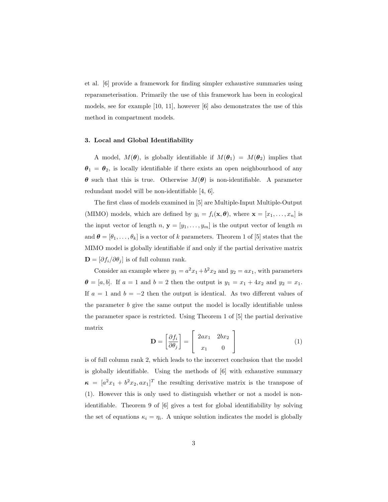et al. [6] provide a framework for finding simpler exhaustive summaries using reparameterisation. Primarily the use of this framework has been in ecological models, see for example [10, 11], however [6] also demonstrates the use of this method in compartment models.

#### 3. Local and Global Identifiability

A model,  $M(\theta)$ , is globally identifiable if  $M(\theta_1) = M(\theta_2)$  implies that  $\theta_1 = \theta_2$ , is locally identifiable if there exists an open neighbourhood of any  $\theta$  such that this is true. Otherwise  $M(\theta)$  is non-identifiable. A parameter redundant model will be non-identifiable [4, 6].

The first class of models examined in [5] are Multiple-Input Multiple-Output (MIMO) models, which are defined by  $y_i = f_i(\mathbf{x}, \boldsymbol{\theta})$ , where  $\mathbf{x} = [x_1, \dots, x_n]$  is the input vector of length  $n, y = [y_1, \ldots, y_m]$  is the output vector of length  $m$ and  $\boldsymbol{\theta} = [\theta_1, \dots, \theta_k]$  is a vector of k parameters. Theorem 1 of [5] states that the MIMO model is globally identifiable if and only if the partial derivative matrix  $\mathbf{D} = [\partial f_i / \partial \theta_i]$  is of full column rank.

Consider an example where  $y_1 = a^2x_1 + b^2x_2$  and  $y_2 = ax_1$ , with parameters  $\theta = [a, b]$ . If  $a = 1$  and  $b = 2$  then the output is  $y_1 = x_1 + 4x_2$  and  $y_2 = x_1$ . If  $a = 1$  and  $b = -2$  then the output is identical. As two different values of the parameter b give the same output the model is locally identifiable unless the parameter space is restricted. Using Theorem 1 of [5] the partial derivative matrix

$$
\mathbf{D} = \begin{bmatrix} \frac{\partial f_i}{\partial \theta_j} \end{bmatrix} = \begin{bmatrix} 2ax_1 & 2bx_2 \\ x_1 & 0 \end{bmatrix}
$$
 (1)

is of full column rank 2, which leads to the incorrect conclusion that the model is globally identifiable. Using the methods of [6] with exhaustive summary  $\kappa = [a^2x_1 + b^2x_2, ax_1]^T$  the resulting derivative matrix is the transpose of (1). However this is only used to distinguish whether or not a model is nonidentifiable. Theorem 9 of [6] gives a test for global identifiability by solving the set of equations  $\kappa_i = \eta_i$ . A unique solution indicates the model is globally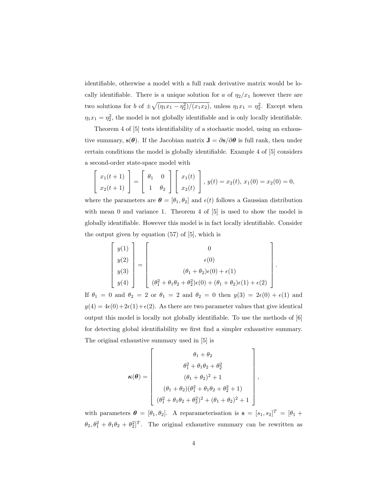identifiable, otherwise a model with a full rank derivative matrix would be locally identifiable. There is a unique solution for a of  $\eta_2/x_1$  however there are two solutions for b of  $\pm \sqrt{(\eta_1 x_1 - \eta_2^2)/(\bar{x}_1 x_2)}$ , unless  $\eta_1 x_1 = \eta_2^2$ . Except when  $\eta_1 x_1 = \eta_2^2$ , the model is not globally identifiable and is only locally identifiable.

Theorem 4 of [5] tests identifiability of a stochastic model, using an exhaustive summary,  $s(\theta)$ . If the Jacobian matrix  $J = \partial s / \partial \theta$  is full rank, then under certain conditions the model is globally identifiable. Example 4 of [5] considers a second-order state-space model with

$$
\begin{bmatrix} x_1(t+1) \\ x_2(t+1) \end{bmatrix} = \begin{bmatrix} \theta_1 & 0 \\ 1 & \theta_2 \end{bmatrix} \begin{bmatrix} x_1(t) \\ x_2(t) \end{bmatrix}, y(t) = x_2(t), x_1(0) = x_2(0) = 0,
$$

where the parameters are  $\boldsymbol{\theta} = [\theta_1, \theta_2]$  and  $\epsilon(t)$  follows a Gaussian distribution with mean 0 and variance 1. Theorem 4 of  $[5]$  is used to show the model is globally identifiable. However this model is in fact locally identifiable. Consider the output given by equation (57) of [5], which is

$$
\begin{bmatrix} y(1) \\ y(2) \\ y(3) \\ y(4) \end{bmatrix} = \begin{bmatrix} 0 \\ \epsilon(0) \\ (\theta_1 + \theta_2)\epsilon(0) + \epsilon(1) \\ (\theta_1^2 + \theta_1\theta_2 + \theta_2^2)\epsilon(0) + (\theta_1 + \theta_2)\epsilon(1) + \epsilon(2) \end{bmatrix}.
$$

If  $\theta_1 = 0$  and  $\theta_2 = 2$  or  $\theta_1 = 2$  and  $\theta_2 = 0$  then  $y(3) = 2\epsilon(0) + \epsilon(1)$  and  $y(4) = 4\epsilon(0) + 2\epsilon(1) + \epsilon(2)$ . As there are two parameter values that give identical output this model is locally not globally identifiable. To use the methods of [6] for detecting global identifiability we first find a simpler exhaustive summary. The original exhaustive summary used in [5] is

$$
\kappa(\theta) = \begin{bmatrix} \theta_1 + \theta_2 \\ \theta_1^2 + \theta_1 \theta_2 + \theta_2^2 \\ (\theta_1 + \theta_2)^2 + 1 \\ (\theta_1 + \theta_2)(\theta_1^2 + \theta_1 \theta_2 + \theta_2^2 + 1) \\ (\theta_1^2 + \theta_1 \theta_2 + \theta_2^2)^2 + (\theta_1 + \theta_2)^2 + 1 \end{bmatrix}
$$

,

with parameters  $\boldsymbol{\theta} = [\theta_1, \theta_2]$ . A reparameterisation is  $\mathbf{s} = [s_1, s_2]^T = [\theta_1 +$  $\theta_2$ ,  $\theta_1^2 + \theta_1 \theta_2 + \theta_2^2$ <sup>T</sup>. The original exhaustive summary can be rewritten as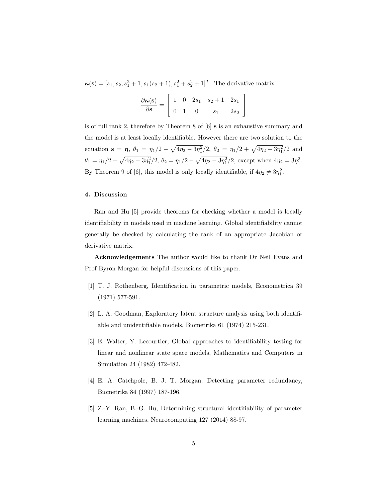$\boldsymbol{\kappa}(\mathbf{s}) = [s_1, s_2, s_1^2 + 1, s_1(s_2 + 1), s_1^2 + s_2^2 + 1]^T$ . The derivative matrix

| $\frac{\partial \kappa(s)}{\partial s} = \begin{vmatrix} 1 & 0 & 2s_1 & s_2 + 1 & 2s_1 \\ 0 & 1 & 0 & s_1 & 2s_2 \end{vmatrix}$ |  |       |        |
|---------------------------------------------------------------------------------------------------------------------------------|--|-------|--------|
| $\begin{array}{ ccc } \hline 0 & 1 & 0 \\ \hline \end{array}$                                                                   |  | $S_1$ | $2s_2$ |

is of full rank 2, therefore by Theorem 8 of [6] s is an exhaustive summary and the model is at least locally identifiable. However there are two solution to the equation  $\mathbf{s} = \eta$ ,  $\theta_1 = \eta_1/2 - \sqrt{4\eta_2 - 3\eta_1^2}/2$ ,  $\theta_2 = \eta_1/2 + \sqrt{4\eta_2 - 3\eta_1^2}/2$  and  $\theta_1 = \eta_1/2 + \sqrt{4\eta_2 - 3\eta_1^2}/2, \ \theta_2 = \eta_1/2 - \sqrt{4\eta_2 - 3\eta_1^2}/2, \text{ except when } 4\eta_2 = 3\eta_1^2.$ By Theorem 9 of [6], this model is only locally identifiable, if  $4\eta_2 \neq 3\eta_1^2$ .

#### 4. Discussion

Ran and Hu [5] provide theorems for checking whether a model is locally identifiability in models used in machine learning. Global identifiability cannot generally be checked by calculating the rank of an appropriate Jacobian or derivative matrix.

Acknowledgements The author would like to thank Dr Neil Evans and Prof Byron Morgan for helpful discussions of this paper.

- [1] T. J. Rothenberg, Identification in parametric models, Econometrica 39 (1971) 577-591.
- [2] L. A. Goodman, Exploratory latent structure analysis using both identifiable and unidentifiable models, Biometrika 61 (1974) 215-231.
- [3] E. Walter, Y. Lecourtier, Global approaches to identifiability testing for linear and nonlinear state space models, Mathematics and Computers in Simulation 24 (1982) 472-482.
- [4] E. A. Catchpole, B. J. T. Morgan, Detecting parameter redundancy, Biometrika 84 (1997) 187-196.
- [5] Z.-Y. Ran, B.-G. Hu, Determining structural identifiability of parameter learning machines, Neurocomputing 127 (2014) 88-97.